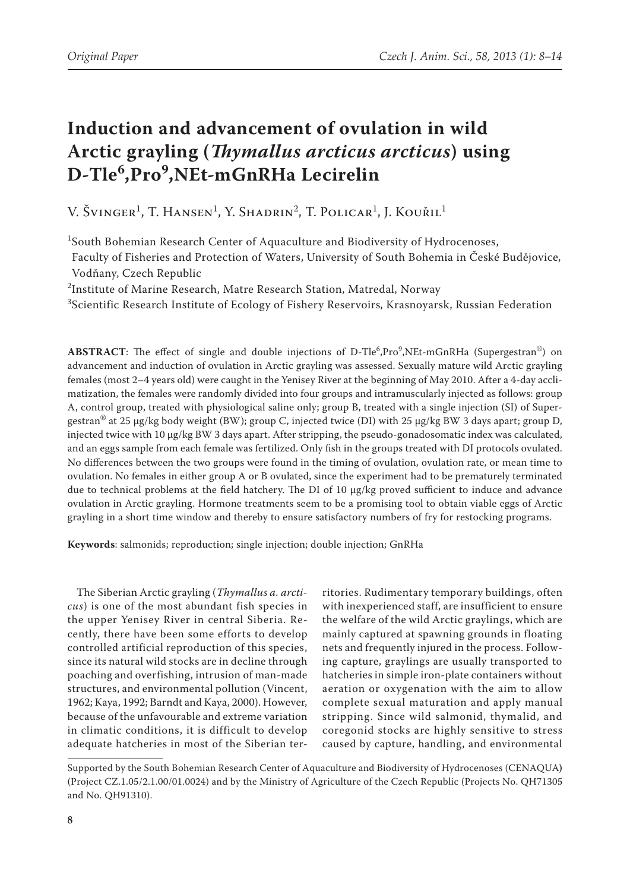# **Induction and advancement of ovulation in wild Arctic grayling (***Thymallus arcticus arcticus***) using D-Tle<sup>6</sup> ,Pro<sup>9</sup> ,NEt-mGnRHa Lecirelin**

V. Švinger<sup>1</sup>, T. Hansen<sup>1</sup>, Y. Shadrin<sup>2</sup>, T. Policar<sup>1</sup>, J. Kouřil<sup>1</sup>

1 South Bohemian Research Center of Aquaculture and Biodiversity of Hydrocenoses,

Faculty of Fisheries and Protection of Waters, University of South Bohemia in České Budějovice, Vodňany, Czech Republic

 $^2$ Institute of Marine Research, Matre Research Station, Matredal, Norway

 $^3$ Scientific Research Institute of Ecology of Fishery Reservoirs, Krasnoyarsk, Russian Federation

ABSTRACT: The effect of single and double injections of D-Tle<sup>6</sup>,Pro<sup>9</sup>,NEt-mGnRHa (Supergestran®) on advancement and induction of ovulation in Arctic grayling was assessed. Sexually mature wild Arctic grayling females (most 2–4 years old) were caught in the Yenisey River at the beginning of May 2010. After a 4-day acclimatization, the females were randomly divided into four groups and intramuscularly injected as follows: group A, control group, treated with physiological saline only; group B, treated with a single injection (SI) of Supergestran<sup>®</sup> at 25 µg/kg body weight (BW); group C, injected twice (DI) with 25 µg/kg BW 3 days apart; group D, injected twice with 10 µg/kg BW 3 days apart. After stripping, the pseudo-gonadosomatic index was calculated, and an eggs sample from each female was fertilized. Only fish in the groups treated with DI protocols ovulated. No differences between the two groups were found in the timing of ovulation, ovulation rate, or mean time to ovulation. No females in either group A or B ovulated, since the experiment had to be prematurely terminated due to technical problems at the field hatchery. The DI of 10 µg/kg proved sufficient to induce and advance ovulation in Arctic grayling. Hormone treatments seem to be a promising tool to obtain viable eggs of Arctic grayling in a short time window and thereby to ensure satisfactory numbers of fry for restocking programs.

**Keywords**: salmonids; reproduction; single injection; double injection; GnRHa

The Siberian Arctic grayling (*Thymallus a. arcticus*) is one of the most abundant fish species in the upper Yenisey River in central Siberia. Recently, there have been some efforts to develop controlled artificial reproduction of this species, since its natural wild stocks are in decline through poaching and overfishing, intrusion of man-made structures, and environmental pollution (Vincent, 1962; Kaya, 1992; Barndt and Kaya, 2000). However, because of the unfavourable and extreme variation in climatic conditions, it is difficult to develop adequate hatcheries in most of the Siberian ter-

ritories. Rudimentary temporary buildings, often with inexperienced staff, are insufficient to ensure the welfare of the wild Arctic graylings, which are mainly captured at spawning grounds in floating nets and frequently injured in the process. Following capture, graylings are usually transported to hatcheries in simple iron-plate containers without aeration or oxygenation with the aim to allow complete sexual maturation and apply manual stripping. Since wild salmonid, thymalid, and coregonid stocks are highly sensitive to stress caused by capture, handling, and environmental

Supported by the South Bohemian Research Center of Aquaculture and Biodiversity of Hydrocenoses (CENAQUA**)** (Project CZ.1.05/2.1.00/01.0024) and by the Ministry of Agriculture of the Czech Republic (Projects No. QH71305 and No. QH91310).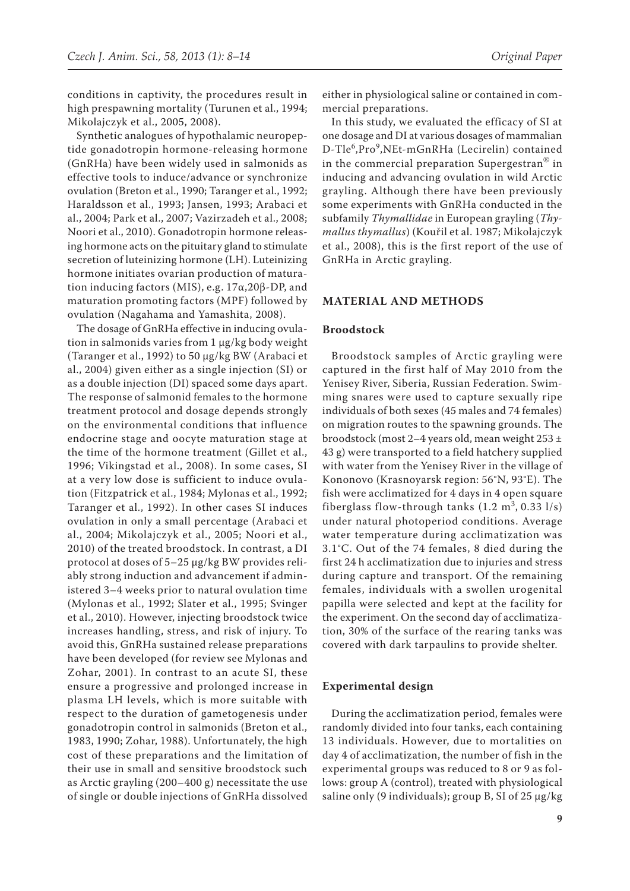conditions in captivity, the procedures result in high prespawning mortality (Turunen et al., 1994; Mikolajczyk et al., 2005, 2008).

Synthetic analogues of hypothalamic neuropeptide gonadotropin hormone-releasing hormone (GnRHa) have been widely used in salmonids as effective tools to induce/advance or synchronize ovulation (Breton et al., 1990; Taranger et al., 1992; Haraldsson et al., 1993; Jansen, 1993; Arabaci et al., 2004; Park et al., 2007; Vazirzadeh et al., 2008; Noori et al., 2010). Gonadotropin hormone releasing hormone acts on the pituitary gland to stimulate secretion of luteinizing hormone (LH). Luteinizing hormone initiates ovarian production of maturation inducing factors (MIS), e.g. 17α,20β-DP, and maturation promoting factors (MPF) followed by ovulation (Nagahama and Yamashita, 2008).

The dosage of GnRHa effective in inducing ovulation in salmonids varies from 1 µg/kg body weight (Taranger et al., 1992) to 50 µg/kg BW (Arabaci et al., 2004) given either as a single injection (SI) or as a double injection (DI) spaced some days apart. The response of salmonid females to the hormone treatment protocol and dosage depends strongly on the environmental conditions that influence endocrine stage and oocyte maturation stage at the time of the hormone treatment (Gillet et al., 1996; Vikingstad et al., 2008). In some cases, SI at a very low dose is sufficient to induce ovulation (Fitzpatrick et al., 1984; Mylonas et al., 1992; Taranger et al., 1992). In other cases SI induces ovulation in only a small percentage (Arabaci et al., 2004; Mikolajczyk et al., 2005; Noori et al., 2010) of the treated broodstock. In contrast, a DI protocol at doses of 5–25 µg/kg BW provides reliably strong induction and advancement if administered 3–4 weeks prior to natural ovulation time (Mylonas et al., 1992; Slater et al., 1995; Svinger et al., 2010). However, injecting broodstock twice increases handling, stress, and risk of injury. To avoid this, GnRHa sustained release preparations have been developed (for review see Mylonas and Zohar, 2001). In contrast to an acute SI, these ensure a progressive and prolonged increase in plasma LH levels, which is more suitable with respect to the duration of gametogenesis under gonadotropin control in salmonids (Breton et al., 1983, 1990; Zohar, 1988). Unfortunately, the high cost of these preparations and the limitation of their use in small and sensitive broodstock such as Arctic grayling (200–400 g) necessitate the use of single or double injections of GnRHa dissolved

either in physiological saline or contained in commercial preparations.

In this study, we evaluated the efficacy of SI at one dosage and DI at various dosages of mammalian D-Tle<sup>6</sup>,Pro<sup>9</sup>,NEt-mGnRHa (Lecirelin) contained in the commercial preparation Supergestran® in inducing and advancing ovulation in wild Arctic grayling. Although there have been previously some experiments with GnRHa conducted in the subfamily *Thymallidae* in European grayling (*Thymallus thymallus*) (Kouřil et al. 1987; Mikolajczyk et al., 2008), this is the first report of the use of GnRHa in Arctic grayling.

# **MATERIAL AND METHODS**

#### **Broodstock**

Broodstock samples of Arctic grayling were captured in the first half of May 2010 from the Yenisey River, Siberia, Russian Federation. Swimming snares were used to capture sexually ripe individuals of both sexes (45 males and 74 females) on migration routes to the spawning grounds. The broodstock (most 2–4 years old, mean weight 253 ± 43 g) were transported to a field hatchery supplied with water from the Yenisey River in the village of Kononovo (Krasnoyarsk region: 56°N, 93°E). The fish were acclimatized for 4 days in 4 open square fiberglass flow-through tanks  $(1.2 \text{ m}^3, 0.33 \text{ l/s})$ under natural photoperiod conditions. Average water temperature during acclimatization was 3.1°C. Out of the 74 females, 8 died during the first 24 h acclimatization due to injuries and stress during capture and transport. Of the remaining females, individuals with a swollen urogenital papilla were selected and kept at the facility for the experiment. On the second day of acclimatization, 30% of the surface of the rearing tanks was covered with dark tarpaulins to provide shelter.

#### **Experimental design**

During the acclimatization period, females were randomly divided into four tanks, each containing 13 individuals. However, due to mortalities on day 4 of acclimatization, the number of fish in the experimental groups was reduced to 8 or 9 as follows: group A (control), treated with physiological saline only (9 individuals); group B, SI of 25  $\mu$ g/kg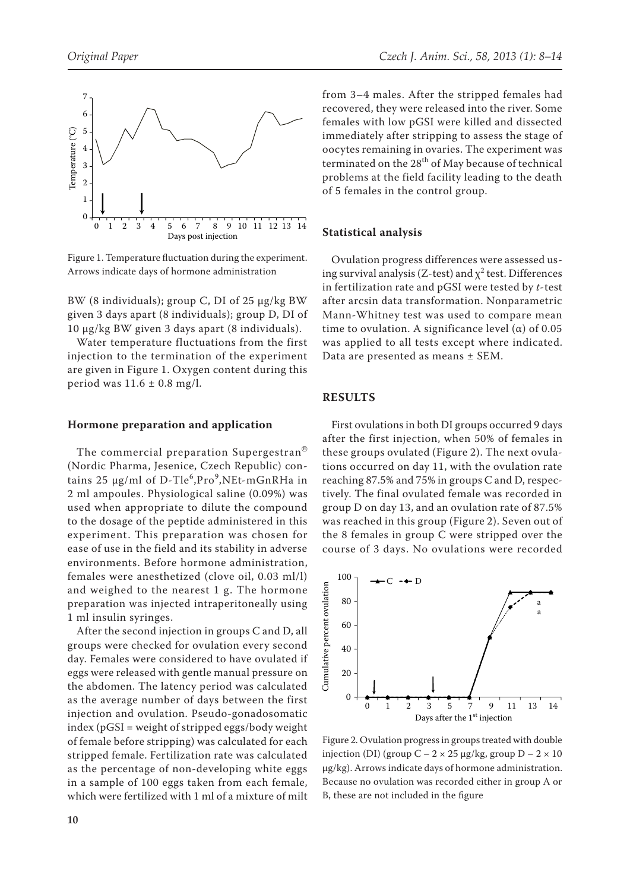

Figure 1. Temperature fluctuation during the experiment. Arrows indicate days of hormone administration

BW (8 individuals); group C, DI of 25 µg/kg BW given 3 days apart (8 individuals); group D, DI of 10 µg/kg BW given 3 days apart (8 individuals).

Water temperature fluctuations from the first injection to the termination of the experiment are given in Figure 1. Oxygen content during this period was  $11.6 \pm 0.8$  mg/l.

### **Hormone preparation and application**

The commercial preparation Supergestran® (Nordic Pharma, Jesenice, Czech Republic) contains 25 µg/ml of D-Tle<sup>6</sup>,Pro<sup>9</sup>,NEt-mGnRHa in 2 ml ampoules. Physiological saline (0.09%) was used when appropriate to dilute the compound to the dosage of the peptide administered in this experiment. This preparation was chosen for ease of use in the field and its stability in adverse environments. Before hormone administration, females were anesthetized (clove oil, 0.03 ml/l) and weighed to the nearest 1 g. The hormone preparation was injected intraperitoneally using 1 ml insulin syringes.

After the second injection in groups C and D, all groups were checked for ovulation every second day. Females were considered to have ovulated if eggs were released with gentle manual pressure on the abdomen. The latency period was calculated as the average number of days between the first injection and ovulation. Pseudo-gonadosomatic index (pGSI = weight of stripped eggs/body weight of female before stripping) was calculated for each stripped female. Fertilization rate was calculated as the percentage of non-developing white eggs in a sample of 100 eggs taken from each female, which were fertilized with 1 ml of a mixture of milt from 3–4 males. After the stripped females had recovered, they were released into the river. Some females with low pGSI were killed and dissected immediately after stripping to assess the stage of oocytes remaining in ovaries. The experiment was terminated on the  $28<sup>th</sup>$  of May because of technical problems at the field facility leading to the death of 5 females in the control group.

## **Statistical analysis**

Ovulation progress differences were assessed using survival analysis (Z-test) and  $\chi^2$  test. Differences in fertilization rate and pGSI were tested by *t*-test after arcsin data transformation. Nonparametric Mann-Whitney test was used to compare mean time to ovulation. A significance level ( $\alpha$ ) of 0.05 was applied to all tests except where indicated. Data are presented as means ± SEM.

## **RESULTS**

First ovulations in both DI groups occurred 9 days after the first injection, when 50% of females in these groups ovulated (Figure 2). The next ovulations occurred on day 11, with the ovulation rate reaching 87.5% and 75% in groups C and D, respectively. The final ovulated female was recorded in group D on day 13, and an ovulation rate of 87.5% was reached in this group (Figure 2). Seven out of the 8 females in group C were stripped over the course of 3 days. No ovulations were recorded



Figure 2. Ovulation progress in groups treated with double injection (DI) (group  $C - 2 \times 25$  µg/kg, group  $D - 2 \times 10$ µg/kg). Arrows indicate days of hormone administration. Because no ovulation was recorded either in group A or B, these are not included in the figure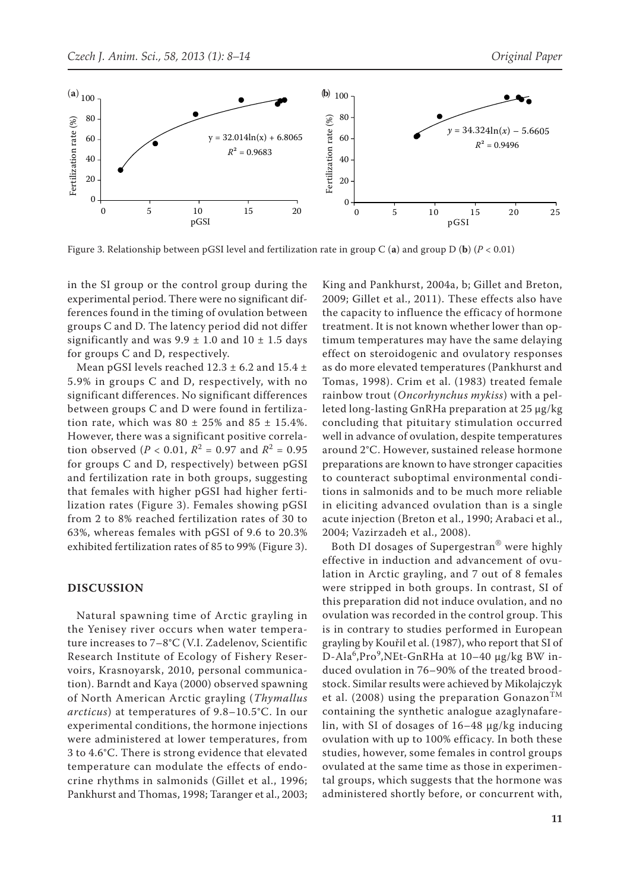

Figure 3. Relationship between pGSI level and fertilization rate in group C (**a**) and group D (**b**) (*P* < 0.01)

in the SI group or the control group during the experimental period. There were no significant differences found in the timing of ovulation between groups C and D. The latency period did not differ significantly and was  $9.9 \pm 1.0$  and  $10 \pm 1.5$  days for groups C and D, respectively.

Mean pGSI levels reached  $12.3 \pm 6.2$  and  $15.4 \pm$ 5.9% in groups C and D, respectively, with no significant differences. No significant differences between groups C and D were found in fertilization rate, which was  $80 \pm 25\%$  and  $85 \pm 15.4\%$ . However, there was a significant positive correlation observed (*P* < 0.01,  $R^2 = 0.97$  and  $R^2 = 0.95$ for groups C and D, respectively) between pGSI and fertilization rate in both groups, suggesting that females with higher pGSI had higher fertilization rates (Figure 3). Females showing pGSI from 2 to 8% reached fertilization rates of 30 to 63%, whereas females with pGSI of 9.6 to 20.3% exhibited fertilization rates of 85 to 99% (Figure 3).

#### **DISCUSSION**

Natural spawning time of Arctic grayling in the Yenisey river occurs when water temperature increases to 7–8°C (V.I. Zadelenov, Scientific Research Institute of Ecology of Fishery Reservoirs, Krasnoyarsk, 2010, personal communication). Barndt and Kaya (2000) observed spawning of North American Arctic grayling (*Thymallus arcticus*) at temperatures of 9.8–10.5°C. In our experimental conditions, the hormone injections were administered at lower temperatures, from 3 to 4.6°C. There is strong evidence that elevated temperature can modulate the effects of endocrine rhythms in salmonids (Gillet et al., 1996; Pankhurst and Thomas, 1998; Taranger et al., 2003;

King and Pankhurst, 2004a, b; Gillet and Breton, 2009; Gillet et al., 2011). These effects also have the capacity to influence the efficacy of hormone treatment. It is not known whether lower than optimum temperatures may have the same delaying effect on steroidogenic and ovulatory responses as do more elevated temperatures (Pankhurst and Tomas, 1998). Crim et al. (1983) treated female rainbow trout (*Oncorhynchus mykiss*) with a pelleted long-lasting GnRHa preparation at 25 µg/kg concluding that pituitary stimulation occurred well in advance of ovulation, despite temperatures around 2°C. However, sustained release hormone preparations are known to have stronger capacities to counteract suboptimal environmental conditions in salmonids and to be much more reliable in eliciting advanced ovulation than is a single acute injection (Breton et al., 1990; Arabaci et al., 2004; Vazirzadeh et al., 2008).

Both DI dosages of Supergestran® were highly effective in induction and advancement of ovulation in Arctic grayling, and 7 out of 8 females were stripped in both groups. In contrast, SI of this preparation did not induce ovulation, and no ovulation was recorded in the control group. This is in contrary to studies performed in European grayling by Kouřil et al. (1987), who report that SI of D-Ala<sup>6</sup>,Pro<sup>9</sup>,NEt-GnRHa at 10–40 μg/kg BW induced ovulation in 76–90% of the treated broodstock. Similar results were achieved by Mikolajczyk et al. (2008) using the preparation Gonazon<sup>TM</sup> containing the synthetic analogue azaglynafarelin, with SI of dosages of 16–48 µg/kg inducing ovulation with up to 100% efficacy. In both these studies, however, some females in control groups ovulated at the same time as those in experimental groups, which suggests that the hormone was administered shortly before, or concurrent with,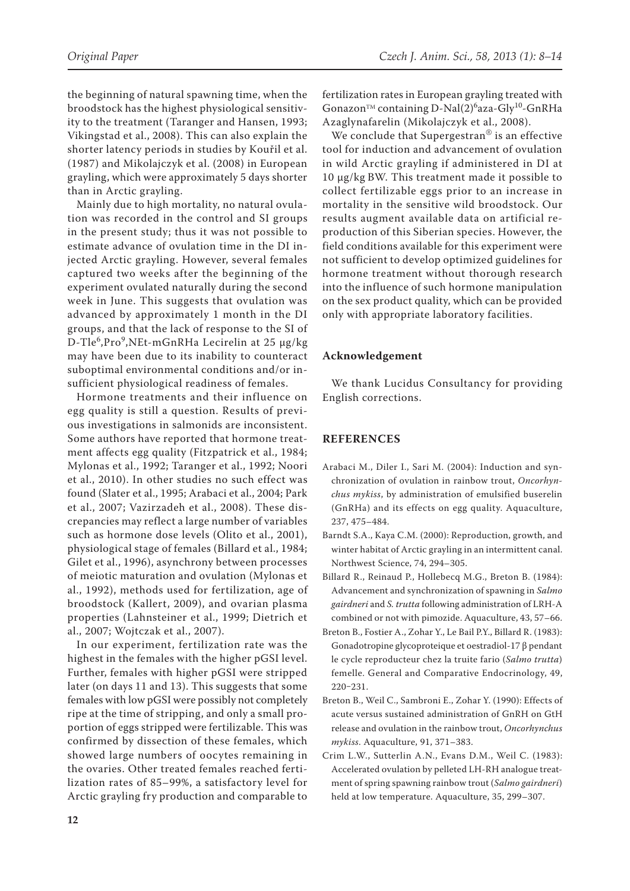the beginning of natural spawning time, when the broodstock has the highest physiological sensitivity to the treatment (Taranger and Hansen, 1993; Vikingstad et al., 2008). This can also explain the shorter latency periods in studies by Kouřil et al. (1987) and Mikolajczyk et al. (2008) in European grayling, which were approximately 5 days shorter than in Arctic grayling.

Mainly due to high mortality, no natural ovulation was recorded in the control and SI groups in the present study; thus it was not possible to estimate advance of ovulation time in the DI injected Arctic grayling. However, several females captured two weeks after the beginning of the experiment ovulated naturally during the second week in June. This suggests that ovulation was advanced by approximately 1 month in the DI groups, and that the lack of response to the SI of D-Tle<sup>6</sup>,Pro<sup>9</sup>,NEt-mGnRHa Lecirelin at 25 μg/kg may have been due to its inability to counteract suboptimal environmental conditions and/or insufficient physiological readiness of females.

Hormone treatments and their influence on egg quality is still a question. Results of previous investigations in salmonids are inconsistent. Some authors have reported that hormone treatment affects egg quality (Fitzpatrick et al., 1984; Mylonas et al., 1992; Taranger et al., 1992; Noori et al., 2010). In other studies no such effect was found (Slater et al., 1995; Arabaci et al., 2004; Park et al., 2007; Vazirzadeh et al., 2008). These discrepancies may reflect a large number of variables such as hormone dose levels (Olito et al., 2001), physiological stage of females (Billard et al., 1984; Gilet et al., 1996), asynchrony between processes of meiotic maturation and ovulation (Mylonas et al., 1992), methods used for fertilization, age of broodstock (Kallert, 2009), and ovarian plasma properties (Lahnsteiner et al., 1999; Dietrich et al., 2007; Wojtczak et al., 2007).

In our experiment, fertilization rate was the highest in the females with the higher pGSI level. Further, females with higher pGSI were stripped later (on days 11 and 13). This suggests that some females with low pGSI were possibly not completely ripe at the time of stripping, and only a small proportion of eggs stripped were fertilizable. This was confirmed by dissection of these females, which showed large numbers of oocytes remaining in the ovaries. Other treated females reached fertilization rates of 85–99%, a satisfactory level for Arctic grayling fry production and comparable to fertilization rates in European grayling treated with Gonazon<sup>™</sup> containing D-Nal(2)<sup>6</sup>aza-Gly<sup>10</sup>-GnRHa Azaglynafarelin (Mikolajczyk et al., 2008).

We conclude that Supergestran<sup>®</sup> is an effective tool for induction and advancement of ovulation in wild Arctic grayling if administered in DI at 10 µg/kg BW. This treatment made it possible to collect fertilizable eggs prior to an increase in mortality in the sensitive wild broodstock. Our results augment available data on artificial reproduction of this Siberian species. However, the field conditions available for this experiment were not sufficient to develop optimized guidelines for hormone treatment without thorough research into the influence of such hormone manipulation on the sex product quality, which can be provided only with appropriate laboratory facilities.

# **Acknowledgement**

We thank Lucidus Consultancy for providing English corrections.

#### **REFERENCES**

- Arabaci M., Diler I., Sari M. (2004): Induction and synchronization of ovulation in rainbow trout, *Oncorhynchus mykiss*, by administration of emulsified buserelin (GnRHa) and its effects on egg quality. Aquaculture, 237, 475–484.
- Barndt S.A., Kaya C.M. (2000): Reproduction, growth, and winter habitat of Arctic grayling in an intermittent canal. Northwest Science, 74, 294–305.
- Billard R., Reinaud P., Hollebecq M.G., Breton B. (1984): Advancement and synchronization of spawning in *Salmo gairdneri* and *S. trutta* following administration of LRH-A combined or not with pimozide. Aquaculture, 43, 57–66.
- Breton B., Fostier A., Zohar Y., Le Bail P.Y., Billard R. (1983): Gonadotropine glycoproteique et oestradiol-17 β pendant le cycle reproducteur chez la truite fario (*Salmo trutta*) femelle. General and Comparative Endocrinology, 49, 220‒231.
- Breton B., Weil C., Sambroni E., Zohar Y. (1990): Effects of acute versus sustained administration of GnRH on GtH release and ovulation in the rainbow trout, *Oncorhynchus mykiss*. Aquaculture, 91, 371–383.
- Crim L.W., Sutterlin A.N., Evans D.M., Weil C. (1983): Accelerated ovulation by pelleted LH-RH analogue treatment of spring spawning rainbow trout (*Salmo gairdneri*) held at low temperature. Aquaculture, 35, 299–307.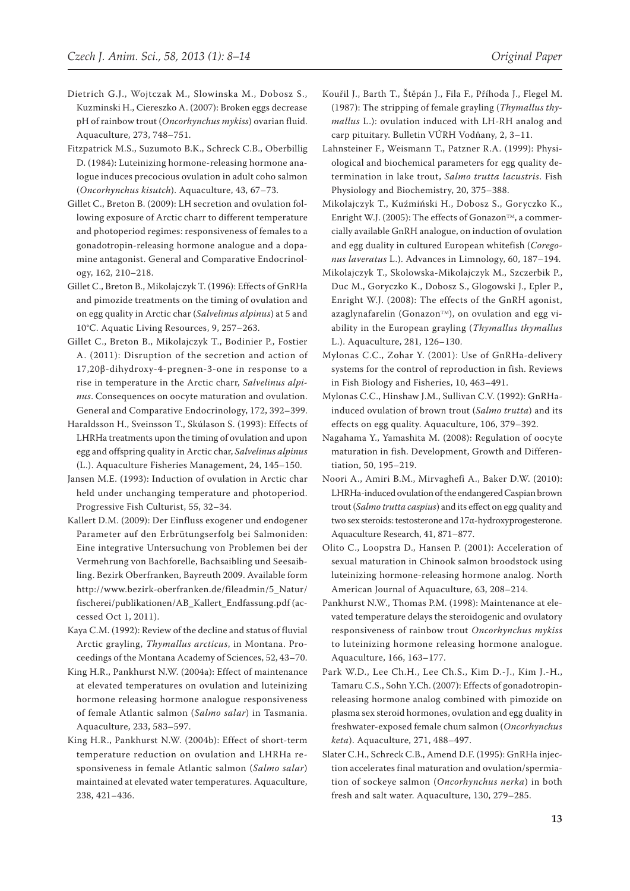- Dietrich G.J., Wojtczak M., Slowinska M., Dobosz S., Kuzminski H., Ciereszko A. (2007): Broken eggs decrease pH of rainbow trout (*Oncorhynchus mykiss*) ovarian fluid. Aquaculture, 273, 748–751.
- Fitzpatrick M.S., Suzumoto B.K., Schreck C.B., Oberbillig D. (1984): Luteinizing hormone-releasing hormone analogue induces precocious ovulation in adult coho salmon (*Oncorhynchus kisutch*). Aquaculture, 43, 67–73.
- Gillet C., Breton B. (2009): LH secretion and ovulation following exposure of Arctic charr to different temperature and photoperiod regimes: responsiveness of females to a gonadotropin-releasing hormone analogue and a dopamine antagonist. General and Comparative Endocrinology, 162, 210–218.
- Gillet C., Breton B., Mikolajczyk T. (1996): Effects of GnRHa and pimozide treatments on the timing of ovulation and on egg quality in Arctic char (*Salvelinus alpinus*) at 5 and 10°C. Aquatic Living Resources, 9, 257–263.
- Gillet C., Breton B., Mikolajczyk T., Bodinier P., Fostier A. (2011): Disruption of the secretion and action of 17,20β-dihydroxy-4-pregnen-3-one in response to a rise in temperature in the Arctic charr, *Salvelinus alpinus*. Consequences on oocyte maturation and ovulation. General and Comparative Endocrinology, 172, 392–399.
- Haraldsson H., Sveinsson T., Skúlason S. (1993): Effects of LHRHa treatments upon the timing of ovulation and upon egg and offspring quality in Arctic char, *Salvelinus alpinus*  (L.). Aquaculture Fisheries Management, 24, 145–150.
- Jansen M.E. (1993): Induction of ovulation in Arctic char held under unchanging temperature and photoperiod. Progressive Fish Culturist, 55, 32–34.
- Kallert D.M. (2009): Der Einfluss exogener und endogener Parameter auf den Erbrütungserfolg bei Salmoniden: Eine integrative Untersuchung von Problemen bei der Vermehrung von Bachforelle, Bachsaibling und Seesaibling. Bezirk Oberfranken, Bayreuth 2009. Available form http://www.bezirk-oberfranken.de/fileadmin/5\_Natur/ fischerei/publikationen/AB\_Kallert\_Endfassung.pdf (accessed Oct 1, 2011).
- Kaya C.M. (1992): Review of the decline and status of fluvial Arctic grayling, *Thymallus arcticus*, in Montana. Proceedings of the Montana Academy of Sciences, 52, 43–70.
- King H.R., Pankhurst N.W. (2004a): Effect of maintenance at elevated temperatures on ovulation and luteinizing hormone releasing hormone analogue responsiveness of female Atlantic salmon (*Salmo salar*) in Tasmania. Aquaculture, 233, 583–597.
- King H.R., Pankhurst N.W. (2004b): Effect of short-term temperature reduction on ovulation and LHRHa responsiveness in female Atlantic salmon (*Salmo salar*) maintained at elevated water temperatures. Aquaculture, 238, 421–436.
- Kouřil J., Barth T., Štěpán J., Fila F., Příhoda J., Flegel M. (1987): The stripping of female grayling (*Thymallus thymallus* L.): ovulation induced with LH-RH analog and carp pituitary. Bulletin VÚRH Vodňany, 2, 3–11.
- Lahnsteiner F., Weismann T., Patzner R.A. (1999): Physiological and biochemical parameters for egg quality determination in lake trout, *Salmo trutta lacustris*. Fish Physiology and Biochemistry, 20, 375–388.
- Mikolajczyk T., Kuźmiński H., Dobosz S., Goryczko K., Enright W.J. (2005): The effects of Gonazon<sup>TM</sup>, a commercially available GnRH analogue, on induction of ovulation and egg duality in cultured European whitefish (*Coregonus laveratus* L.). Advances in Limnology, 60, 187–194.
- Mikolajczyk T., Skolowska-Mikolajczyk M., Szczerbik P., Duc M., Goryczko K., Dobosz S., Glogowski J., Epler P., Enright W.J. (2008): The effects of the GnRH agonist, azaglynafarelin (Gonazon<sup>TM</sup>), on ovulation and egg viability in the European grayling (*Thymallus thymallus* L.). Aquaculture, 281, 126–130.
- Mylonas C.C., Zohar Y. (2001): Use of GnRHa-delivery systems for the control of reproduction in fish. Reviews in Fish Biology and Fisheries, 10, 463–491.
- Mylonas C.C., Hinshaw J.M., Sullivan C.V. (1992): GnRHainduced ovulation of brown trout (*Salmo trutta*) and its effects on egg quality. Aquaculture, 106, 379–392.
- Nagahama Y., Yamashita M. (2008): Regulation of oocyte maturation in fish. Development, Growth and Differentiation, 50, 195–219.
- Noori A., Amiri B.M., Mirvaghefi A., Baker D.W. (2010): LHRHa-induced ovulation of the endangered Caspian brown trout (*Salmo trutta caspius*) and its effect on egg quality and two sex steroids: testosterone and 17α-hydroxyprogesterone. Aquaculture Research, 41, 871–877.
- Olito C., Loopstra D., Hansen P. (2001): Acceleration of sexual maturation in Chinook salmon broodstock using luteinizing hormone-releasing hormone analog. North American Journal of Aquaculture, 63, 208–214.
- Pankhurst N.W., Thomas P.M. (1998): Maintenance at elevated temperature delays the steroidogenic and ovulatory responsiveness of rainbow trout *Oncorhynchus mykiss* to luteinizing hormone releasing hormone analogue. Aquaculture, 166, 163–177.
- Park W.D., Lee Ch.H., Lee Ch.S., Kim D.-J., Kim J.-H., Tamaru C.S., Sohn Y.Ch. (2007): Effects of gonadotropinreleasing hormone analog combined with pimozide on plasma sex steroid hormones, ovulation and egg duality in freshwater-exposed female chum salmon (*Oncorhynchus keta*). Aquaculture, 271, 488–497.
- Slater C.H., Schreck C.B., Amend D.F. (1995): GnRHa injection accelerates final maturation and ovulation/spermiation of sockeye salmon (*Oncorhynchus nerka*) in both fresh and salt water. Aquaculture, 130, 279–285.